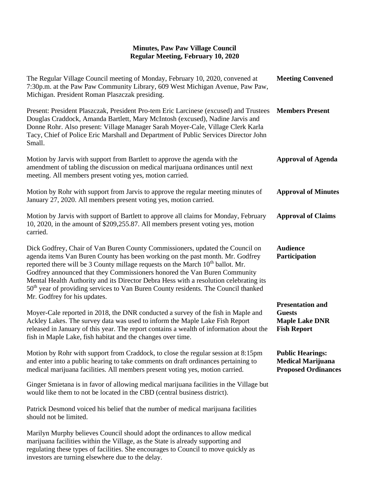| The Regular Village Council meeting of Monday, February 10, 2020, convened at<br>7:30p.m. at the Paw Paw Community Library, 609 West Michigan Avenue, Paw Paw,<br>Michigan. President Roman Plaszczak presiding.                                                                                                                                                                                                                                                                                                                                           | <b>Meeting Convened</b>                                                                 |
|------------------------------------------------------------------------------------------------------------------------------------------------------------------------------------------------------------------------------------------------------------------------------------------------------------------------------------------------------------------------------------------------------------------------------------------------------------------------------------------------------------------------------------------------------------|-----------------------------------------------------------------------------------------|
| Present: President Plaszczak, President Pro-tem Eric Larcinese (excused) and Trustees<br>Douglas Craddock, Amanda Bartlett, Mary McIntosh (excused), Nadine Jarvis and<br>Donne Rohr. Also present: Village Manager Sarah Moyer-Cale, Village Clerk Karla<br>Tacy, Chief of Police Eric Marshall and Department of Public Services Director John<br>Small.                                                                                                                                                                                                 | <b>Members Present</b>                                                                  |
| Motion by Jarvis with support from Bartlett to approve the agenda with the<br>amendment of tabling the discussion on medical marijuana ordinances until next<br>meeting. All members present voting yes, motion carried.                                                                                                                                                                                                                                                                                                                                   | <b>Approval of Agenda</b>                                                               |
| Motion by Rohr with support from Jarvis to approve the regular meeting minutes of<br>January 27, 2020. All members present voting yes, motion carried.                                                                                                                                                                                                                                                                                                                                                                                                     | <b>Approval of Minutes</b>                                                              |
| Motion by Jarvis with support of Bartlett to approve all claims for Monday, February<br>10, 2020, in the amount of \$209,255.87. All members present voting yes, motion<br>carried.                                                                                                                                                                                                                                                                                                                                                                        | <b>Approval of Claims</b>                                                               |
| Dick Godfrey, Chair of Van Buren County Commissioners, updated the Council on<br>agenda items Van Buren County has been working on the past month. Mr. Godfrey<br>reported there will be 3 County millage requests on the March $10th$ ballot. Mr.<br>Godfrey announced that they Commissioners honored the Van Buren Community<br>Mental Health Authority and its Director Debra Hess with a resolution celebrating its<br>50 <sup>th</sup> year of providing services to Van Buren County residents. The Council thanked<br>Mr. Godfrey for his updates. | <b>Audience</b><br>Participation                                                        |
| Moyer-Cale reported in 2018, the DNR conducted a survey of the fish in Maple and<br>Ackley Lakes. The survey data was used to inform the Maple Lake Fish Report<br>released in January of this year. The report contains a wealth of information about the<br>fish in Maple Lake, fish habitat and the changes over time.                                                                                                                                                                                                                                  | <b>Presentation and</b><br><b>Guests</b><br><b>Maple Lake DNR</b><br><b>Fish Report</b> |
| Motion by Rohr with support from Craddock, to close the regular session at 8:15pm<br>and enter into a public hearing to take comments on draft ordinances pertaining to<br>medical marijuana facilities. All members present voting yes, motion carried.                                                                                                                                                                                                                                                                                                   | <b>Public Hearings:</b><br><b>Medical Marijuana</b><br><b>Proposed Ordinances</b>       |
| Ginger Smietana is in favor of allowing medical marijuana facilities in the Village but<br>would like them to not be located in the CBD (central business district).                                                                                                                                                                                                                                                                                                                                                                                       |                                                                                         |
| Patrick Desmond voiced his belief that the number of medical marijuana facilities<br>should not be limited.                                                                                                                                                                                                                                                                                                                                                                                                                                                |                                                                                         |
| Marilyn Murphy believes Council should adopt the ordinances to allow medical<br>marijuana facilities within the Village, as the State is already supporting and<br>regulating these types of facilities. She encourages to Council to move quickly as<br>investors are turning elsewhere due to the delay.                                                                                                                                                                                                                                                 |                                                                                         |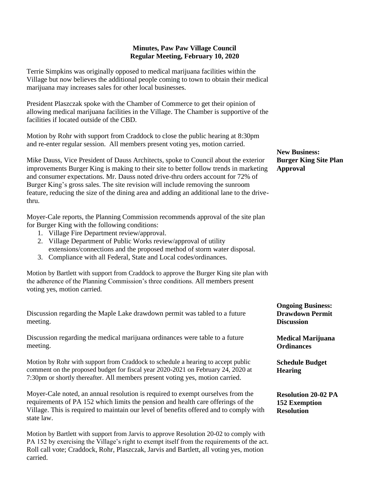Terrie Simpkins was originally opposed to medical marijuana facilities within the Village but now believes the additional people coming to town to obtain their medical marijuana may increases sales for other local businesses.

President Plaszczak spoke with the Chamber of Commerce to get their opinion of allowing medical marijuana facilities in the Village. The Chamber is supportive of the facilities if located outside of the CBD.

Motion by Rohr with support from Craddock to close the public hearing at 8:30pm and re-enter regular session. All members present voting yes, motion carried.

Mike Dauss, Vice President of Dauss Architects, spoke to Council about the exterior improvements Burger King is making to their site to better follow trends in marketing and consumer expectations. Mr. Dauss noted drive-thru orders account for 72% of Burger King's gross sales. The site revision will include removing the sunroom feature, reducing the size of the dining area and adding an additional lane to the drivethru.

Moyer-Cale reports, the Planning Commission recommends approval of the site plan for Burger King with the following conditions:

- 1. Village Fire Department review/approval.
- 2. Village Department of Public Works review/approval of utility extensions/connections and the proposed method of storm water disposal.
- 3. Compliance with all Federal, State and Local codes/ordinances.

Motion by Bartlett with support from Craddock to approve the Burger King site plan with the adherence of the Planning Commission's three conditions. All members present voting yes, motion carried.

Discussion regarding the Maple Lake drawdown permit was tabled to a future meeting.

Discussion regarding the medical marijuana ordinances were table to a future meeting.

Motion by Rohr with support from Craddock to schedule a hearing to accept public comment on the proposed budget for fiscal year 2020-2021 on February 24, 2020 at 7:30pm or shortly thereafter. All members present voting yes, motion carried.

Moyer-Cale noted, an annual resolution is required to exempt ourselves from the requirements of PA 152 which limits the pension and health care offerings of the Village. This is required to maintain our level of benefits offered and to comply with state law.

Motion by Bartlett with support from Jarvis to approve Resolution 20-02 to comply with PA 152 by exercising the Village's right to exempt itself from the requirements of the act. Roll call vote; Craddock, Rohr, Plaszczak, Jarvis and Bartlett, all voting yes, motion carried.

**New Business: Burger King Site Plan Approval**

**Ongoing Business: Drawdown Permit Discussion**

**Medical Marijuana Ordinances**

**Schedule Budget Hearing**

**Resolution 20-02 PA 152 Exemption Resolution**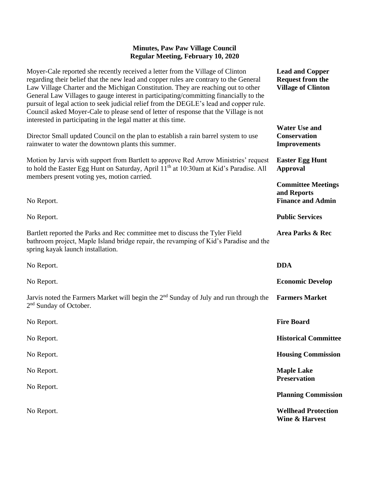| Moyer-Cale reported she recently received a letter from the Village of Clinton<br>regarding their belief that the new lead and copper rules are contrary to the General<br>Law Village Charter and the Michigan Constitution. They are reaching out to other<br>General Law Villages to gauge interest in participating/committing financially to the<br>pursuit of legal action to seek judicial relief from the DEGLE's lead and copper rule.<br>Council asked Moyer-Cale to please send of letter of response that the Village is not<br>interested in participating in the legal matter at this time. | <b>Lead and Copper</b><br><b>Request from the</b><br><b>Village of Clinton</b> |
|-----------------------------------------------------------------------------------------------------------------------------------------------------------------------------------------------------------------------------------------------------------------------------------------------------------------------------------------------------------------------------------------------------------------------------------------------------------------------------------------------------------------------------------------------------------------------------------------------------------|--------------------------------------------------------------------------------|
| Director Small updated Council on the plan to establish a rain barrel system to use<br>rainwater to water the downtown plants this summer.                                                                                                                                                                                                                                                                                                                                                                                                                                                                | <b>Water Use and</b><br>Conservation<br><b>Improvements</b>                    |
| Motion by Jarvis with support from Bartlett to approve Red Arrow Ministries' request<br>to hold the Easter Egg Hunt on Saturday, April 11 <sup>th</sup> at 10:30am at Kid's Paradise. All<br>members present voting yes, motion carried.                                                                                                                                                                                                                                                                                                                                                                  | <b>Easter Egg Hunt</b><br><b>Approval</b>                                      |
| No Report.                                                                                                                                                                                                                                                                                                                                                                                                                                                                                                                                                                                                | <b>Committee Meetings</b><br>and Reports<br><b>Finance and Admin</b>           |
| No Report.                                                                                                                                                                                                                                                                                                                                                                                                                                                                                                                                                                                                | <b>Public Services</b>                                                         |
| Bartlett reported the Parks and Rec committee met to discuss the Tyler Field<br>bathroom project, Maple Island bridge repair, the revamping of Kid's Paradise and the<br>spring kayak launch installation.                                                                                                                                                                                                                                                                                                                                                                                                | Area Parks & Rec                                                               |
| No Report.                                                                                                                                                                                                                                                                                                                                                                                                                                                                                                                                                                                                | <b>DDA</b>                                                                     |
| No Report.                                                                                                                                                                                                                                                                                                                                                                                                                                                                                                                                                                                                | <b>Economic Develop</b>                                                        |
| Jarvis noted the Farmers Market will begin the $2nd$ Sunday of July and run through the<br>2 <sup>nd</sup> Sunday of October.                                                                                                                                                                                                                                                                                                                                                                                                                                                                             | <b>Farmers Market</b>                                                          |
| No Report.                                                                                                                                                                                                                                                                                                                                                                                                                                                                                                                                                                                                | <b>Fire Board</b>                                                              |
| No Report.                                                                                                                                                                                                                                                                                                                                                                                                                                                                                                                                                                                                | <b>Historical Committee</b>                                                    |
| No Report.                                                                                                                                                                                                                                                                                                                                                                                                                                                                                                                                                                                                | <b>Housing Commission</b>                                                      |
| No Report.                                                                                                                                                                                                                                                                                                                                                                                                                                                                                                                                                                                                | <b>Maple Lake</b><br><b>Preservation</b>                                       |
| No Report.                                                                                                                                                                                                                                                                                                                                                                                                                                                                                                                                                                                                | <b>Planning Commission</b>                                                     |
| No Report.                                                                                                                                                                                                                                                                                                                                                                                                                                                                                                                                                                                                | <b>Wellhead Protection</b><br><b>Wine &amp; Harvest</b>                        |